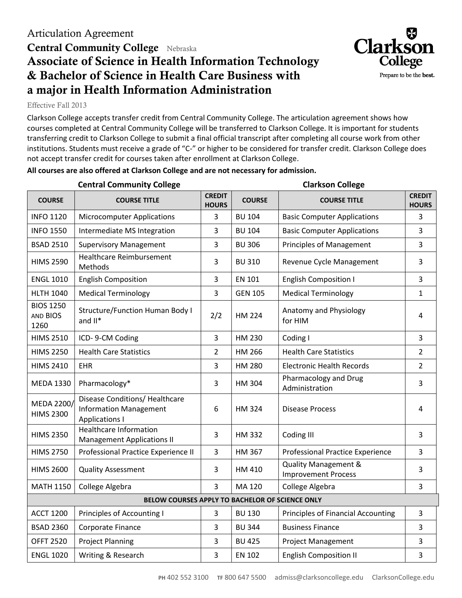## **Central Community College** Nebraska **Associate of Science in Health Information Technology & Bachelor of Science in Health Care Business with a major in Health Information Administration**



Effective Fall 2013

Clarkson College accepts transfer credit from Central Community College. The articulation agreement shows how courses completed at Central Community College will be transferred to Clarkson College. It is important for students transferring credit to Clarkson College to submit a final official transcript after completing all course work from other institutions. Students must receive a grade of "C-" or higher to be considered for transfer credit. Clarkson College does not accept transfer credit for courses taken after enrollment at Clarkson College.

## **All courses are also offered at Clarkson College and are not necessary for admission.**

|                                                 | <b>Central Community College</b>                                                         | <b>Clarkson College</b>       |                |                                                    |                               |  |  |  |  |
|-------------------------------------------------|------------------------------------------------------------------------------------------|-------------------------------|----------------|----------------------------------------------------|-------------------------------|--|--|--|--|
| <b>COURSE</b>                                   | <b>COURSE TITLE</b>                                                                      | <b>CREDIT</b><br><b>HOURS</b> | <b>COURSE</b>  | <b>COURSE TITLE</b>                                | <b>CREDIT</b><br><b>HOURS</b> |  |  |  |  |
| <b>INFO 1120</b>                                | <b>Microcomputer Applications</b>                                                        | 3                             | <b>BU 104</b>  | <b>Basic Computer Applications</b>                 | 3                             |  |  |  |  |
| <b>INFO 1550</b>                                | Intermediate MS Integration                                                              | 3                             | <b>BU 104</b>  | <b>Basic Computer Applications</b>                 | 3                             |  |  |  |  |
| <b>BSAD 2510</b>                                | <b>Supervisory Management</b>                                                            | 3                             | <b>BU 306</b>  | <b>Principles of Management</b>                    | 3                             |  |  |  |  |
| <b>HIMS 2590</b>                                | <b>Healthcare Reimbursement</b><br>Methods                                               | 3                             | <b>BU 310</b>  | Revenue Cycle Management                           | 3                             |  |  |  |  |
| <b>ENGL 1010</b>                                | <b>English Composition</b>                                                               | 3                             | <b>EN 101</b>  | <b>English Composition I</b>                       | 3                             |  |  |  |  |
| <b>HLTH 1040</b>                                | <b>Medical Terminology</b>                                                               | 3                             | <b>GEN 105</b> | <b>Medical Terminology</b>                         | $\mathbf{1}$                  |  |  |  |  |
| <b>BIOS 1250</b><br>AND BIOS<br>1260            | <b>Structure/Function Human Body I</b><br>and $II^*$                                     | 2/2                           | <b>HM 224</b>  | Anatomy and Physiology<br>for HIM                  | 4                             |  |  |  |  |
| <b>HIMS 2510</b>                                | ICD-9-CM Coding                                                                          | 3                             | HM 230         | Coding I                                           | $\overline{3}$                |  |  |  |  |
| <b>HIMS 2250</b>                                | <b>Health Care Statistics</b>                                                            | $\overline{2}$                | HM 266         | <b>Health Care Statistics</b>                      | $\overline{2}$                |  |  |  |  |
| <b>HIMS 2410</b>                                | <b>EHR</b>                                                                               | 3                             | HM 280         | <b>Electronic Health Records</b>                   | $\overline{2}$                |  |  |  |  |
| <b>MEDA 1330</b>                                | Pharmacology*                                                                            | 3                             | HM 304         | Pharmacology and Drug<br>Administration            | 3                             |  |  |  |  |
| MEDA 2200/<br><b>HIMS 2300</b>                  | Disease Conditions/ Healthcare<br><b>Information Management</b><br><b>Applications I</b> | 6                             | <b>HM324</b>   | <b>Disease Process</b>                             | 4                             |  |  |  |  |
| <b>HIMS 2350</b>                                | <b>Healthcare Information</b><br><b>Management Applications II</b>                       | 3                             | <b>HM332</b>   | Coding III                                         | $\overline{3}$                |  |  |  |  |
| <b>HIMS 2750</b>                                | Professional Practice Experience II                                                      | 3                             | HM 367         | Professional Practice Experience                   | $\overline{3}$                |  |  |  |  |
| <b>HIMS 2600</b>                                | <b>Quality Assessment</b>                                                                | 3                             | HM 410         | Quality Management &<br><b>Improvement Process</b> | 3                             |  |  |  |  |
| <b>MATH 1150</b>                                | College Algebra                                                                          | $\overline{3}$                | MA 120         | College Algebra                                    | $\overline{3}$                |  |  |  |  |
| BELOW COURSES APPLY TO BACHELOR OF SCIENCE ONLY |                                                                                          |                               |                |                                                    |                               |  |  |  |  |
| <b>ACCT 1200</b>                                | Principles of Accounting I                                                               | 3                             | <b>BU 130</b>  | <b>Principles of Financial Accounting</b>          | 3                             |  |  |  |  |
| <b>BSAD 2360</b>                                | Corporate Finance                                                                        | 3                             | <b>BU 344</b>  | <b>Business Finance</b>                            | $\overline{3}$                |  |  |  |  |
| <b>OFFT 2520</b>                                | <b>Project Planning</b>                                                                  | 3                             | <b>BU 425</b>  | <b>Project Management</b>                          | 3                             |  |  |  |  |
| <b>ENGL 1020</b>                                | Writing & Research                                                                       | 3                             | <b>EN 102</b>  | <b>English Composition II</b>                      | 3                             |  |  |  |  |
|                                                 |                                                                                          |                               |                |                                                    |                               |  |  |  |  |